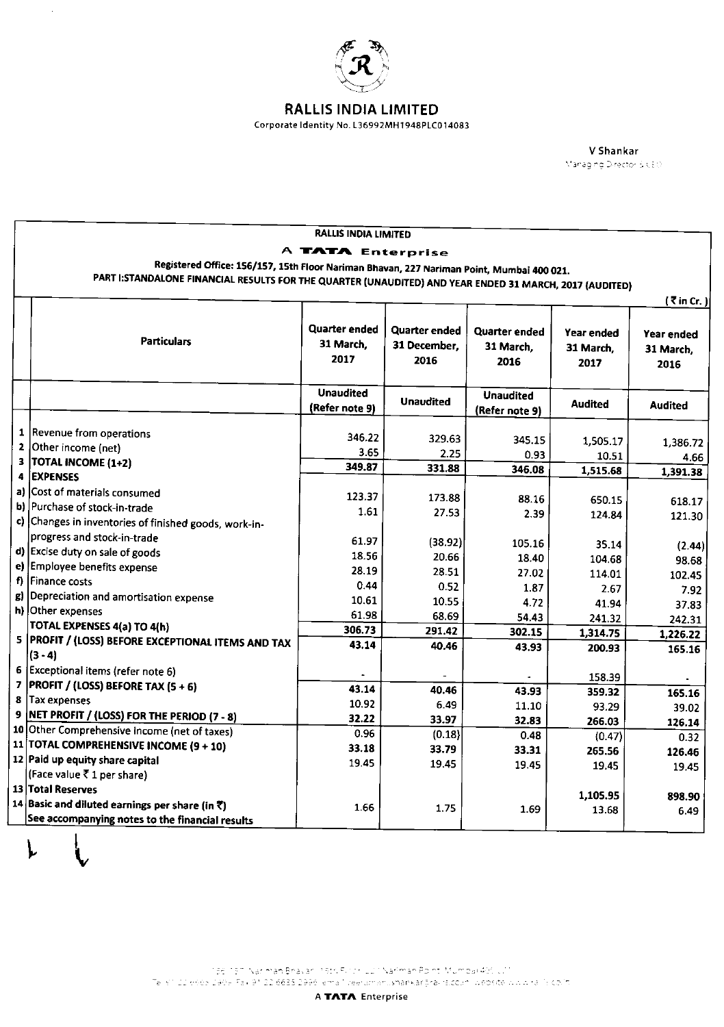

 $\hat{\mathcal{A}}$ 

## **RALLIS INDIA LIMITED**

Corporate Identity No. L36992MH1948PLC014083

V Shankar Managing Director BICEO

|    | <b>RALLIS INDIA LIMITED</b>                                                                                              |                      |                      |                  |                |                |  |  |
|----|--------------------------------------------------------------------------------------------------------------------------|----------------------|----------------------|------------------|----------------|----------------|--|--|
|    | A TATA Enterprise                                                                                                        |                      |                      |                  |                |                |  |  |
|    | Registered Office: 156/157, 15th Floor Nariman Bhavan, 227 Nariman Point, Mumbai 400 021.                                |                      |                      |                  |                |                |  |  |
|    | PART I:STANDALONE FINANCIAL RESULTS FOR THE QUARTER (UNAUDITED) AND YEAR ENDED 31 MARCH, 2017 (AUDITED)<br>$(7$ in Cr. ) |                      |                      |                  |                |                |  |  |
|    |                                                                                                                          |                      |                      |                  |                |                |  |  |
|    |                                                                                                                          |                      |                      |                  |                |                |  |  |
|    |                                                                                                                          | <b>Quarter ended</b> | <b>Quarter ended</b> | Quarter ended    | Year ended     | Year ended     |  |  |
|    | <b>Particulars</b>                                                                                                       | 31 March.            | 31 December,         | 31 March.        | 31 March.      | 31 March.      |  |  |
|    |                                                                                                                          | 2017                 | 2016                 | 2016             | 2017           | 2016           |  |  |
|    |                                                                                                                          |                      |                      |                  |                |                |  |  |
|    |                                                                                                                          | <b>Unaudited</b>     |                      | <b>Unaudited</b> |                |                |  |  |
|    |                                                                                                                          | (Refer note 9)       | <b>Unaudited</b>     | (Refer note 9)   | <b>Audited</b> | <b>Audited</b> |  |  |
|    |                                                                                                                          |                      |                      |                  |                |                |  |  |
|    | 1  Revenue from operations<br>2 Other income (net)                                                                       | 346.22               | 329.63               | 345.15           | 1,505.17       | 1 3 8 6 7 2    |  |  |
| 3  | <b>TOTAL INCOME (1+2)</b>                                                                                                | 3.65                 | 2.25                 | 0.93             | 10.51          | 4.66           |  |  |
| 4  | <b>EXPENSES</b>                                                                                                          | 349.87               | 331.88               | 346.08           | 1,515.68       | 1,391.38       |  |  |
|    | a) Cost of materials consumed                                                                                            |                      |                      |                  |                |                |  |  |
|    | b) Purchase of stock-in-trade                                                                                            | 123.37               | 173.88               | 88.16            | 650.15         | 618.17         |  |  |
|    | c) Changes in inventories of finished goods, work-in-                                                                    | 1.61                 | 27.53                | 2.39             | 124.84         | 121.30         |  |  |
|    | progress and stock-in-trade                                                                                              |                      |                      |                  |                |                |  |  |
|    | d) Excise duty on sale of goods                                                                                          | 61.97                | (38.92)              | 105.16           | 35.14          | (2.44)         |  |  |
| e) | Employee benefits expense                                                                                                | 18.56                | 20.66                | 18.40            | 104.68         | 98.68          |  |  |
| f  | Finance costs                                                                                                            | 28.19<br>0.44        | 28.51                | 27.02            | 114.01         | 102.45         |  |  |
| g) | Depreciation and amortisation expense                                                                                    | 10.61                | 0.52                 | 1.87             | 2.67           | 7.92           |  |  |
|    | h) Other expenses                                                                                                        | 61.98                | 10.55<br>68.69       | 4.72             | 41.94          | 37.83          |  |  |
|    | TOTAL EXPENSES 4(a) TO 4(h)                                                                                              | 306.73               | 291.42               | 54.43            | 241.32         | 242.31         |  |  |
|    | 5 PROFIT / (LOSS) BEFORE EXCEPTIONAL ITEMS AND TAX                                                                       | 43.14                | 40.46                | 302.15           | 1,314.75       | 1,226.22       |  |  |
|    | $(3 - 4)$                                                                                                                |                      |                      | 43.93            | 200.93         | 165.16         |  |  |
| 6  | Exceptional items (refer note 6)                                                                                         |                      |                      |                  | 158.39         |                |  |  |
| 7  | <b>PROFIT / (LOSS) BEFORE TAX (5 + 6)</b>                                                                                | 43.14                | 40.46                | 43.93            | 359.32         | 165.16         |  |  |
| 8  | Tax expenses                                                                                                             | 10.92                | 6.49                 | 11.10            | 93.29          | 39.02          |  |  |
| 9  | NET PROFIT / (LOSS) FOR THE PERIOD (7 - 8)                                                                               | 32.22                | 33.97                | 32.83            | 266.03         | 126.14         |  |  |
|    | 10 Other Comprehensive Income (net of taxes)                                                                             | 0.96                 | (0.18)               | 0.48             | (0.47)         | 0.32           |  |  |
|    | 11 TOTAL COMPREHENSIVE INCOME (9 + 10)                                                                                   | 33.18                | 33.79                | 33.31            | 265.56         | 126.46         |  |  |
|    | 12 Paid up equity share capital                                                                                          | 19.45                | 19.45                | 19.45            | 19.45          | 19.45          |  |  |
|    | (Face value ₹1 per share)                                                                                                |                      |                      |                  |                |                |  |  |
|    | 13 Total Reserves                                                                                                        |                      |                      |                  | 1,105.95       | 898.90         |  |  |
|    | 14 Basic and diluted earnings per share (in ₹)                                                                           | 1.66                 | 1.75                 | 1.69             | 13.68          | 6.49           |  |  |
|    | See accompanying notes to the financial results                                                                          |                      |                      |                  |                |                |  |  |

i 1961 1971 Naciman Bhavari 1965 Purch Lü ÜNariman Point, Mümbai 40(, U)<br>Telisi i 22 oobb 290e Fax 91 22 6635 2996 lema "Veeramanu<mark>shankar</mark>gravis.co.in" website www.ra "Sicolin".

A TATA Enterprise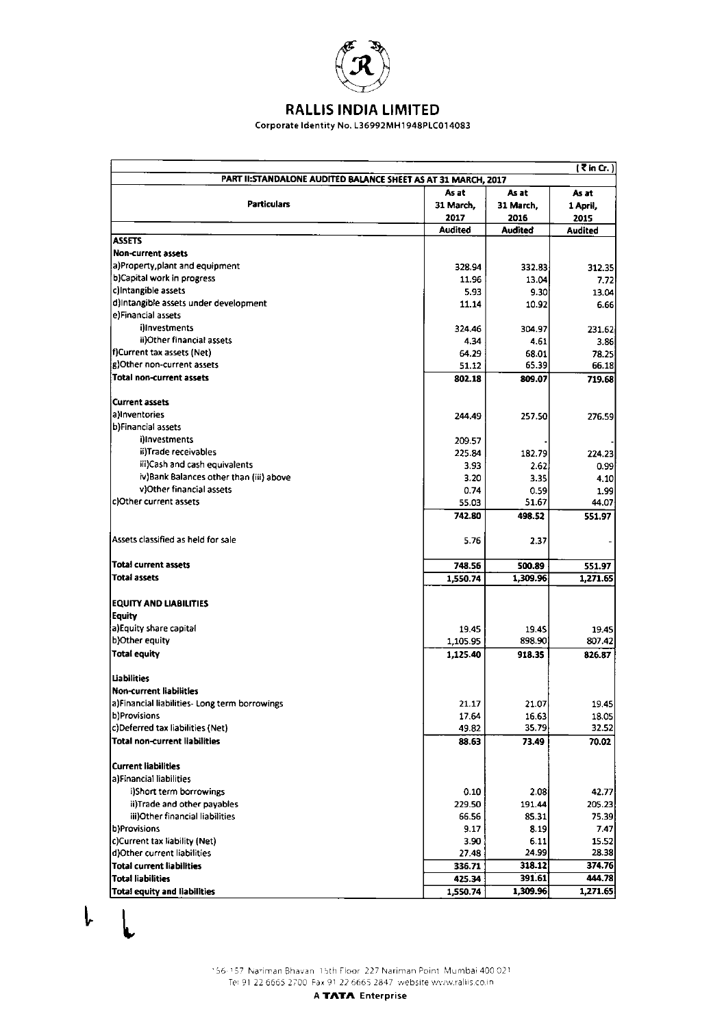

# **RALLIS INDIA LIMITED**

Corporate Identity No. L36992MH1948PLC014083

| As at<br>As at<br>As at<br><b>Particulars</b><br>31 March,<br>31 March,<br>1 April,<br>2017<br>2016<br>2015<br>Audited<br><b>Audited</b><br><b>Audited</b><br><b>ASSETS</b><br><b>Non-current assets</b><br>a)Property,plant and equipment<br>328.94<br>332.83<br>312.35<br>b)Capital work in progress<br>11.96<br>13.04<br>7.72<br>c)Intangible assets<br>5.93<br>9.30<br>13.04<br>d)Intangible assets under development<br>11.14<br>10.92<br>6.66<br>e)Financial assets<br>illnyestments<br>324.46<br>304.97<br>231.62<br>ii)Other financial assets<br>4.34<br>4.61<br>3.86<br>f)Current tax assets (Net)<br>64.29<br>68.01<br>78.25<br>g)Other non-current assets<br>65.39<br>66.18<br>51.12<br><b>Total non-current assets</b><br>802.18<br>809.07<br>719.68<br>Current assets<br>a)Inventories<br>244.49<br>257.50<br>276 59<br>b)Financial assets<br>i)Investments<br>209.57<br>ii)Trade receivables<br>225.84<br>182.79<br>224.23<br>iii)Cash and cash equivalents<br>3.93<br>2.62.<br>0.99<br>iv)Bank Balances other than (iii) above<br>3.20<br>3.35<br>4.10<br>v)Other financial assets<br>0.74<br>0.59<br>1.99<br>c)Other current assets<br>55.03<br>51.67<br>44.07<br>742.80<br>498.52<br>551.97<br>5.76<br>2.37<br><b>Total current assets</b><br>748.56<br>500.89<br>551.97<br><b>Total assets</b><br>1,309.96<br>1,550.74<br>1,271.65<br><b>EQUITY AND LIABILITIES</b><br>Equity<br>a)Equity share capital<br>19.45<br>19.45<br>19.45<br>b)Other equity<br>898.90<br>807.42<br>1,105.95<br><b>Total equity</b><br>1,125.40<br>918.35<br>826.87<br>Liabilities<br><b>Non-current liabilities</b><br>19.45<br>a)Financial liabilities- Long term borrowings<br>21.17<br>21.07<br>b)Provisions<br>17.64<br>16.63<br>18.05<br>c)Deferred tax liabilities (Net)<br>35.79<br>32.52<br>49.82<br><b>Total non-current liabilities</b><br>88.63<br>73.49<br><b>Current liabilities</b><br>a)Financial liabilities<br>i)Short term borrowings<br>0.10<br>2.08<br>42.77<br>ii)Trade and other payables<br>229.50<br>191.44<br>205.23<br>iii)Other financial liabilities<br>66.56<br>85.31<br>75.39<br>b)Provisions<br>9.17<br>8.19<br>7.47<br>c)Current tax liability (Net)<br>3.90<br>6.11<br>15.52<br>24.99<br>d)Other current liabilities<br>28.38<br>27.48<br>318.12<br>374.76<br><b>Total current liabilities</b><br>336.71<br><b>Total liabilities</b><br>391.61<br>444.78<br>425.34<br>1,309.96<br>1,271.65<br><b>Total equity and liabilities</b><br>1,550.74 |                                    |                                                                |  | (₹in Cr.) |  |  |
|---------------------------------------------------------------------------------------------------------------------------------------------------------------------------------------------------------------------------------------------------------------------------------------------------------------------------------------------------------------------------------------------------------------------------------------------------------------------------------------------------------------------------------------------------------------------------------------------------------------------------------------------------------------------------------------------------------------------------------------------------------------------------------------------------------------------------------------------------------------------------------------------------------------------------------------------------------------------------------------------------------------------------------------------------------------------------------------------------------------------------------------------------------------------------------------------------------------------------------------------------------------------------------------------------------------------------------------------------------------------------------------------------------------------------------------------------------------------------------------------------------------------------------------------------------------------------------------------------------------------------------------------------------------------------------------------------------------------------------------------------------------------------------------------------------------------------------------------------------------------------------------------------------------------------------------------------------------------------------------------------------------------------------------------------------------------------------------------------------------------------------------------------------------------------------------------------------------------------------------------------------------------------------------------------------------------------------------------------------------------------------------------------------------------------------------------------------------------------|------------------------------------|----------------------------------------------------------------|--|-----------|--|--|
|                                                                                                                                                                                                                                                                                                                                                                                                                                                                                                                                                                                                                                                                                                                                                                                                                                                                                                                                                                                                                                                                                                                                                                                                                                                                                                                                                                                                                                                                                                                                                                                                                                                                                                                                                                                                                                                                                                                                                                                                                                                                                                                                                                                                                                                                                                                                                                                                                                                                           |                                    | PART II: STANDALONE AUDITED BALANCE SHEET AS AT 31 MARCH, 2017 |  |           |  |  |
|                                                                                                                                                                                                                                                                                                                                                                                                                                                                                                                                                                                                                                                                                                                                                                                                                                                                                                                                                                                                                                                                                                                                                                                                                                                                                                                                                                                                                                                                                                                                                                                                                                                                                                                                                                                                                                                                                                                                                                                                                                                                                                                                                                                                                                                                                                                                                                                                                                                                           |                                    |                                                                |  |           |  |  |
|                                                                                                                                                                                                                                                                                                                                                                                                                                                                                                                                                                                                                                                                                                                                                                                                                                                                                                                                                                                                                                                                                                                                                                                                                                                                                                                                                                                                                                                                                                                                                                                                                                                                                                                                                                                                                                                                                                                                                                                                                                                                                                                                                                                                                                                                                                                                                                                                                                                                           |                                    |                                                                |  |           |  |  |
|                                                                                                                                                                                                                                                                                                                                                                                                                                                                                                                                                                                                                                                                                                                                                                                                                                                                                                                                                                                                                                                                                                                                                                                                                                                                                                                                                                                                                                                                                                                                                                                                                                                                                                                                                                                                                                                                                                                                                                                                                                                                                                                                                                                                                                                                                                                                                                                                                                                                           |                                    |                                                                |  |           |  |  |
|                                                                                                                                                                                                                                                                                                                                                                                                                                                                                                                                                                                                                                                                                                                                                                                                                                                                                                                                                                                                                                                                                                                                                                                                                                                                                                                                                                                                                                                                                                                                                                                                                                                                                                                                                                                                                                                                                                                                                                                                                                                                                                                                                                                                                                                                                                                                                                                                                                                                           |                                    |                                                                |  |           |  |  |
|                                                                                                                                                                                                                                                                                                                                                                                                                                                                                                                                                                                                                                                                                                                                                                                                                                                                                                                                                                                                                                                                                                                                                                                                                                                                                                                                                                                                                                                                                                                                                                                                                                                                                                                                                                                                                                                                                                                                                                                                                                                                                                                                                                                                                                                                                                                                                                                                                                                                           |                                    |                                                                |  |           |  |  |
|                                                                                                                                                                                                                                                                                                                                                                                                                                                                                                                                                                                                                                                                                                                                                                                                                                                                                                                                                                                                                                                                                                                                                                                                                                                                                                                                                                                                                                                                                                                                                                                                                                                                                                                                                                                                                                                                                                                                                                                                                                                                                                                                                                                                                                                                                                                                                                                                                                                                           |                                    |                                                                |  |           |  |  |
|                                                                                                                                                                                                                                                                                                                                                                                                                                                                                                                                                                                                                                                                                                                                                                                                                                                                                                                                                                                                                                                                                                                                                                                                                                                                                                                                                                                                                                                                                                                                                                                                                                                                                                                                                                                                                                                                                                                                                                                                                                                                                                                                                                                                                                                                                                                                                                                                                                                                           |                                    |                                                                |  |           |  |  |
|                                                                                                                                                                                                                                                                                                                                                                                                                                                                                                                                                                                                                                                                                                                                                                                                                                                                                                                                                                                                                                                                                                                                                                                                                                                                                                                                                                                                                                                                                                                                                                                                                                                                                                                                                                                                                                                                                                                                                                                                                                                                                                                                                                                                                                                                                                                                                                                                                                                                           |                                    |                                                                |  |           |  |  |
|                                                                                                                                                                                                                                                                                                                                                                                                                                                                                                                                                                                                                                                                                                                                                                                                                                                                                                                                                                                                                                                                                                                                                                                                                                                                                                                                                                                                                                                                                                                                                                                                                                                                                                                                                                                                                                                                                                                                                                                                                                                                                                                                                                                                                                                                                                                                                                                                                                                                           |                                    |                                                                |  |           |  |  |
|                                                                                                                                                                                                                                                                                                                                                                                                                                                                                                                                                                                                                                                                                                                                                                                                                                                                                                                                                                                                                                                                                                                                                                                                                                                                                                                                                                                                                                                                                                                                                                                                                                                                                                                                                                                                                                                                                                                                                                                                                                                                                                                                                                                                                                                                                                                                                                                                                                                                           |                                    |                                                                |  |           |  |  |
|                                                                                                                                                                                                                                                                                                                                                                                                                                                                                                                                                                                                                                                                                                                                                                                                                                                                                                                                                                                                                                                                                                                                                                                                                                                                                                                                                                                                                                                                                                                                                                                                                                                                                                                                                                                                                                                                                                                                                                                                                                                                                                                                                                                                                                                                                                                                                                                                                                                                           |                                    |                                                                |  |           |  |  |
|                                                                                                                                                                                                                                                                                                                                                                                                                                                                                                                                                                                                                                                                                                                                                                                                                                                                                                                                                                                                                                                                                                                                                                                                                                                                                                                                                                                                                                                                                                                                                                                                                                                                                                                                                                                                                                                                                                                                                                                                                                                                                                                                                                                                                                                                                                                                                                                                                                                                           |                                    |                                                                |  |           |  |  |
|                                                                                                                                                                                                                                                                                                                                                                                                                                                                                                                                                                                                                                                                                                                                                                                                                                                                                                                                                                                                                                                                                                                                                                                                                                                                                                                                                                                                                                                                                                                                                                                                                                                                                                                                                                                                                                                                                                                                                                                                                                                                                                                                                                                                                                                                                                                                                                                                                                                                           |                                    |                                                                |  |           |  |  |
|                                                                                                                                                                                                                                                                                                                                                                                                                                                                                                                                                                                                                                                                                                                                                                                                                                                                                                                                                                                                                                                                                                                                                                                                                                                                                                                                                                                                                                                                                                                                                                                                                                                                                                                                                                                                                                                                                                                                                                                                                                                                                                                                                                                                                                                                                                                                                                                                                                                                           |                                    |                                                                |  |           |  |  |
|                                                                                                                                                                                                                                                                                                                                                                                                                                                                                                                                                                                                                                                                                                                                                                                                                                                                                                                                                                                                                                                                                                                                                                                                                                                                                                                                                                                                                                                                                                                                                                                                                                                                                                                                                                                                                                                                                                                                                                                                                                                                                                                                                                                                                                                                                                                                                                                                                                                                           |                                    |                                                                |  |           |  |  |
|                                                                                                                                                                                                                                                                                                                                                                                                                                                                                                                                                                                                                                                                                                                                                                                                                                                                                                                                                                                                                                                                                                                                                                                                                                                                                                                                                                                                                                                                                                                                                                                                                                                                                                                                                                                                                                                                                                                                                                                                                                                                                                                                                                                                                                                                                                                                                                                                                                                                           |                                    |                                                                |  |           |  |  |
|                                                                                                                                                                                                                                                                                                                                                                                                                                                                                                                                                                                                                                                                                                                                                                                                                                                                                                                                                                                                                                                                                                                                                                                                                                                                                                                                                                                                                                                                                                                                                                                                                                                                                                                                                                                                                                                                                                                                                                                                                                                                                                                                                                                                                                                                                                                                                                                                                                                                           |                                    |                                                                |  |           |  |  |
|                                                                                                                                                                                                                                                                                                                                                                                                                                                                                                                                                                                                                                                                                                                                                                                                                                                                                                                                                                                                                                                                                                                                                                                                                                                                                                                                                                                                                                                                                                                                                                                                                                                                                                                                                                                                                                                                                                                                                                                                                                                                                                                                                                                                                                                                                                                                                                                                                                                                           |                                    |                                                                |  |           |  |  |
|                                                                                                                                                                                                                                                                                                                                                                                                                                                                                                                                                                                                                                                                                                                                                                                                                                                                                                                                                                                                                                                                                                                                                                                                                                                                                                                                                                                                                                                                                                                                                                                                                                                                                                                                                                                                                                                                                                                                                                                                                                                                                                                                                                                                                                                                                                                                                                                                                                                                           |                                    |                                                                |  |           |  |  |
|                                                                                                                                                                                                                                                                                                                                                                                                                                                                                                                                                                                                                                                                                                                                                                                                                                                                                                                                                                                                                                                                                                                                                                                                                                                                                                                                                                                                                                                                                                                                                                                                                                                                                                                                                                                                                                                                                                                                                                                                                                                                                                                                                                                                                                                                                                                                                                                                                                                                           |                                    |                                                                |  |           |  |  |
|                                                                                                                                                                                                                                                                                                                                                                                                                                                                                                                                                                                                                                                                                                                                                                                                                                                                                                                                                                                                                                                                                                                                                                                                                                                                                                                                                                                                                                                                                                                                                                                                                                                                                                                                                                                                                                                                                                                                                                                                                                                                                                                                                                                                                                                                                                                                                                                                                                                                           |                                    |                                                                |  |           |  |  |
|                                                                                                                                                                                                                                                                                                                                                                                                                                                                                                                                                                                                                                                                                                                                                                                                                                                                                                                                                                                                                                                                                                                                                                                                                                                                                                                                                                                                                                                                                                                                                                                                                                                                                                                                                                                                                                                                                                                                                                                                                                                                                                                                                                                                                                                                                                                                                                                                                                                                           |                                    |                                                                |  |           |  |  |
|                                                                                                                                                                                                                                                                                                                                                                                                                                                                                                                                                                                                                                                                                                                                                                                                                                                                                                                                                                                                                                                                                                                                                                                                                                                                                                                                                                                                                                                                                                                                                                                                                                                                                                                                                                                                                                                                                                                                                                                                                                                                                                                                                                                                                                                                                                                                                                                                                                                                           |                                    |                                                                |  |           |  |  |
|                                                                                                                                                                                                                                                                                                                                                                                                                                                                                                                                                                                                                                                                                                                                                                                                                                                                                                                                                                                                                                                                                                                                                                                                                                                                                                                                                                                                                                                                                                                                                                                                                                                                                                                                                                                                                                                                                                                                                                                                                                                                                                                                                                                                                                                                                                                                                                                                                                                                           |                                    |                                                                |  |           |  |  |
|                                                                                                                                                                                                                                                                                                                                                                                                                                                                                                                                                                                                                                                                                                                                                                                                                                                                                                                                                                                                                                                                                                                                                                                                                                                                                                                                                                                                                                                                                                                                                                                                                                                                                                                                                                                                                                                                                                                                                                                                                                                                                                                                                                                                                                                                                                                                                                                                                                                                           |                                    |                                                                |  |           |  |  |
|                                                                                                                                                                                                                                                                                                                                                                                                                                                                                                                                                                                                                                                                                                                                                                                                                                                                                                                                                                                                                                                                                                                                                                                                                                                                                                                                                                                                                                                                                                                                                                                                                                                                                                                                                                                                                                                                                                                                                                                                                                                                                                                                                                                                                                                                                                                                                                                                                                                                           |                                    |                                                                |  |           |  |  |
|                                                                                                                                                                                                                                                                                                                                                                                                                                                                                                                                                                                                                                                                                                                                                                                                                                                                                                                                                                                                                                                                                                                                                                                                                                                                                                                                                                                                                                                                                                                                                                                                                                                                                                                                                                                                                                                                                                                                                                                                                                                                                                                                                                                                                                                                                                                                                                                                                                                                           |                                    |                                                                |  |           |  |  |
|                                                                                                                                                                                                                                                                                                                                                                                                                                                                                                                                                                                                                                                                                                                                                                                                                                                                                                                                                                                                                                                                                                                                                                                                                                                                                                                                                                                                                                                                                                                                                                                                                                                                                                                                                                                                                                                                                                                                                                                                                                                                                                                                                                                                                                                                                                                                                                                                                                                                           | Assets classified as held for sale |                                                                |  |           |  |  |
|                                                                                                                                                                                                                                                                                                                                                                                                                                                                                                                                                                                                                                                                                                                                                                                                                                                                                                                                                                                                                                                                                                                                                                                                                                                                                                                                                                                                                                                                                                                                                                                                                                                                                                                                                                                                                                                                                                                                                                                                                                                                                                                                                                                                                                                                                                                                                                                                                                                                           |                                    |                                                                |  |           |  |  |
|                                                                                                                                                                                                                                                                                                                                                                                                                                                                                                                                                                                                                                                                                                                                                                                                                                                                                                                                                                                                                                                                                                                                                                                                                                                                                                                                                                                                                                                                                                                                                                                                                                                                                                                                                                                                                                                                                                                                                                                                                                                                                                                                                                                                                                                                                                                                                                                                                                                                           |                                    |                                                                |  |           |  |  |
|                                                                                                                                                                                                                                                                                                                                                                                                                                                                                                                                                                                                                                                                                                                                                                                                                                                                                                                                                                                                                                                                                                                                                                                                                                                                                                                                                                                                                                                                                                                                                                                                                                                                                                                                                                                                                                                                                                                                                                                                                                                                                                                                                                                                                                                                                                                                                                                                                                                                           |                                    |                                                                |  |           |  |  |
|                                                                                                                                                                                                                                                                                                                                                                                                                                                                                                                                                                                                                                                                                                                                                                                                                                                                                                                                                                                                                                                                                                                                                                                                                                                                                                                                                                                                                                                                                                                                                                                                                                                                                                                                                                                                                                                                                                                                                                                                                                                                                                                                                                                                                                                                                                                                                                                                                                                                           |                                    |                                                                |  |           |  |  |
|                                                                                                                                                                                                                                                                                                                                                                                                                                                                                                                                                                                                                                                                                                                                                                                                                                                                                                                                                                                                                                                                                                                                                                                                                                                                                                                                                                                                                                                                                                                                                                                                                                                                                                                                                                                                                                                                                                                                                                                                                                                                                                                                                                                                                                                                                                                                                                                                                                                                           |                                    |                                                                |  |           |  |  |
|                                                                                                                                                                                                                                                                                                                                                                                                                                                                                                                                                                                                                                                                                                                                                                                                                                                                                                                                                                                                                                                                                                                                                                                                                                                                                                                                                                                                                                                                                                                                                                                                                                                                                                                                                                                                                                                                                                                                                                                                                                                                                                                                                                                                                                                                                                                                                                                                                                                                           |                                    |                                                                |  |           |  |  |
|                                                                                                                                                                                                                                                                                                                                                                                                                                                                                                                                                                                                                                                                                                                                                                                                                                                                                                                                                                                                                                                                                                                                                                                                                                                                                                                                                                                                                                                                                                                                                                                                                                                                                                                                                                                                                                                                                                                                                                                                                                                                                                                                                                                                                                                                                                                                                                                                                                                                           |                                    |                                                                |  |           |  |  |
|                                                                                                                                                                                                                                                                                                                                                                                                                                                                                                                                                                                                                                                                                                                                                                                                                                                                                                                                                                                                                                                                                                                                                                                                                                                                                                                                                                                                                                                                                                                                                                                                                                                                                                                                                                                                                                                                                                                                                                                                                                                                                                                                                                                                                                                                                                                                                                                                                                                                           |                                    |                                                                |  |           |  |  |
|                                                                                                                                                                                                                                                                                                                                                                                                                                                                                                                                                                                                                                                                                                                                                                                                                                                                                                                                                                                                                                                                                                                                                                                                                                                                                                                                                                                                                                                                                                                                                                                                                                                                                                                                                                                                                                                                                                                                                                                                                                                                                                                                                                                                                                                                                                                                                                                                                                                                           |                                    |                                                                |  |           |  |  |
|                                                                                                                                                                                                                                                                                                                                                                                                                                                                                                                                                                                                                                                                                                                                                                                                                                                                                                                                                                                                                                                                                                                                                                                                                                                                                                                                                                                                                                                                                                                                                                                                                                                                                                                                                                                                                                                                                                                                                                                                                                                                                                                                                                                                                                                                                                                                                                                                                                                                           |                                    |                                                                |  |           |  |  |
|                                                                                                                                                                                                                                                                                                                                                                                                                                                                                                                                                                                                                                                                                                                                                                                                                                                                                                                                                                                                                                                                                                                                                                                                                                                                                                                                                                                                                                                                                                                                                                                                                                                                                                                                                                                                                                                                                                                                                                                                                                                                                                                                                                                                                                                                                                                                                                                                                                                                           |                                    |                                                                |  |           |  |  |
|                                                                                                                                                                                                                                                                                                                                                                                                                                                                                                                                                                                                                                                                                                                                                                                                                                                                                                                                                                                                                                                                                                                                                                                                                                                                                                                                                                                                                                                                                                                                                                                                                                                                                                                                                                                                                                                                                                                                                                                                                                                                                                                                                                                                                                                                                                                                                                                                                                                                           |                                    |                                                                |  |           |  |  |
|                                                                                                                                                                                                                                                                                                                                                                                                                                                                                                                                                                                                                                                                                                                                                                                                                                                                                                                                                                                                                                                                                                                                                                                                                                                                                                                                                                                                                                                                                                                                                                                                                                                                                                                                                                                                                                                                                                                                                                                                                                                                                                                                                                                                                                                                                                                                                                                                                                                                           |                                    |                                                                |  |           |  |  |
|                                                                                                                                                                                                                                                                                                                                                                                                                                                                                                                                                                                                                                                                                                                                                                                                                                                                                                                                                                                                                                                                                                                                                                                                                                                                                                                                                                                                                                                                                                                                                                                                                                                                                                                                                                                                                                                                                                                                                                                                                                                                                                                                                                                                                                                                                                                                                                                                                                                                           |                                    |                                                                |  |           |  |  |
|                                                                                                                                                                                                                                                                                                                                                                                                                                                                                                                                                                                                                                                                                                                                                                                                                                                                                                                                                                                                                                                                                                                                                                                                                                                                                                                                                                                                                                                                                                                                                                                                                                                                                                                                                                                                                                                                                                                                                                                                                                                                                                                                                                                                                                                                                                                                                                                                                                                                           |                                    |                                                                |  | 70.02     |  |  |
|                                                                                                                                                                                                                                                                                                                                                                                                                                                                                                                                                                                                                                                                                                                                                                                                                                                                                                                                                                                                                                                                                                                                                                                                                                                                                                                                                                                                                                                                                                                                                                                                                                                                                                                                                                                                                                                                                                                                                                                                                                                                                                                                                                                                                                                                                                                                                                                                                                                                           |                                    |                                                                |  |           |  |  |
|                                                                                                                                                                                                                                                                                                                                                                                                                                                                                                                                                                                                                                                                                                                                                                                                                                                                                                                                                                                                                                                                                                                                                                                                                                                                                                                                                                                                                                                                                                                                                                                                                                                                                                                                                                                                                                                                                                                                                                                                                                                                                                                                                                                                                                                                                                                                                                                                                                                                           |                                    |                                                                |  |           |  |  |
|                                                                                                                                                                                                                                                                                                                                                                                                                                                                                                                                                                                                                                                                                                                                                                                                                                                                                                                                                                                                                                                                                                                                                                                                                                                                                                                                                                                                                                                                                                                                                                                                                                                                                                                                                                                                                                                                                                                                                                                                                                                                                                                                                                                                                                                                                                                                                                                                                                                                           |                                    |                                                                |  |           |  |  |
|                                                                                                                                                                                                                                                                                                                                                                                                                                                                                                                                                                                                                                                                                                                                                                                                                                                                                                                                                                                                                                                                                                                                                                                                                                                                                                                                                                                                                                                                                                                                                                                                                                                                                                                                                                                                                                                                                                                                                                                                                                                                                                                                                                                                                                                                                                                                                                                                                                                                           |                                    |                                                                |  |           |  |  |
|                                                                                                                                                                                                                                                                                                                                                                                                                                                                                                                                                                                                                                                                                                                                                                                                                                                                                                                                                                                                                                                                                                                                                                                                                                                                                                                                                                                                                                                                                                                                                                                                                                                                                                                                                                                                                                                                                                                                                                                                                                                                                                                                                                                                                                                                                                                                                                                                                                                                           |                                    |                                                                |  |           |  |  |
|                                                                                                                                                                                                                                                                                                                                                                                                                                                                                                                                                                                                                                                                                                                                                                                                                                                                                                                                                                                                                                                                                                                                                                                                                                                                                                                                                                                                                                                                                                                                                                                                                                                                                                                                                                                                                                                                                                                                                                                                                                                                                                                                                                                                                                                                                                                                                                                                                                                                           |                                    |                                                                |  |           |  |  |
|                                                                                                                                                                                                                                                                                                                                                                                                                                                                                                                                                                                                                                                                                                                                                                                                                                                                                                                                                                                                                                                                                                                                                                                                                                                                                                                                                                                                                                                                                                                                                                                                                                                                                                                                                                                                                                                                                                                                                                                                                                                                                                                                                                                                                                                                                                                                                                                                                                                                           |                                    |                                                                |  |           |  |  |
|                                                                                                                                                                                                                                                                                                                                                                                                                                                                                                                                                                                                                                                                                                                                                                                                                                                                                                                                                                                                                                                                                                                                                                                                                                                                                                                                                                                                                                                                                                                                                                                                                                                                                                                                                                                                                                                                                                                                                                                                                                                                                                                                                                                                                                                                                                                                                                                                                                                                           |                                    |                                                                |  |           |  |  |
|                                                                                                                                                                                                                                                                                                                                                                                                                                                                                                                                                                                                                                                                                                                                                                                                                                                                                                                                                                                                                                                                                                                                                                                                                                                                                                                                                                                                                                                                                                                                                                                                                                                                                                                                                                                                                                                                                                                                                                                                                                                                                                                                                                                                                                                                                                                                                                                                                                                                           |                                    |                                                                |  |           |  |  |
|                                                                                                                                                                                                                                                                                                                                                                                                                                                                                                                                                                                                                                                                                                                                                                                                                                                                                                                                                                                                                                                                                                                                                                                                                                                                                                                                                                                                                                                                                                                                                                                                                                                                                                                                                                                                                                                                                                                                                                                                                                                                                                                                                                                                                                                                                                                                                                                                                                                                           |                                    |                                                                |  |           |  |  |
|                                                                                                                                                                                                                                                                                                                                                                                                                                                                                                                                                                                                                                                                                                                                                                                                                                                                                                                                                                                                                                                                                                                                                                                                                                                                                                                                                                                                                                                                                                                                                                                                                                                                                                                                                                                                                                                                                                                                                                                                                                                                                                                                                                                                                                                                                                                                                                                                                                                                           |                                    |                                                                |  |           |  |  |

156-157 Nariman Bhavan 15th Floor 227 Nariman Point Mumbai 400 023 Tel 91 22 6665 2700 Fax 91 22 6665 2847 website www.rallis.co.in

A TATA Enterprise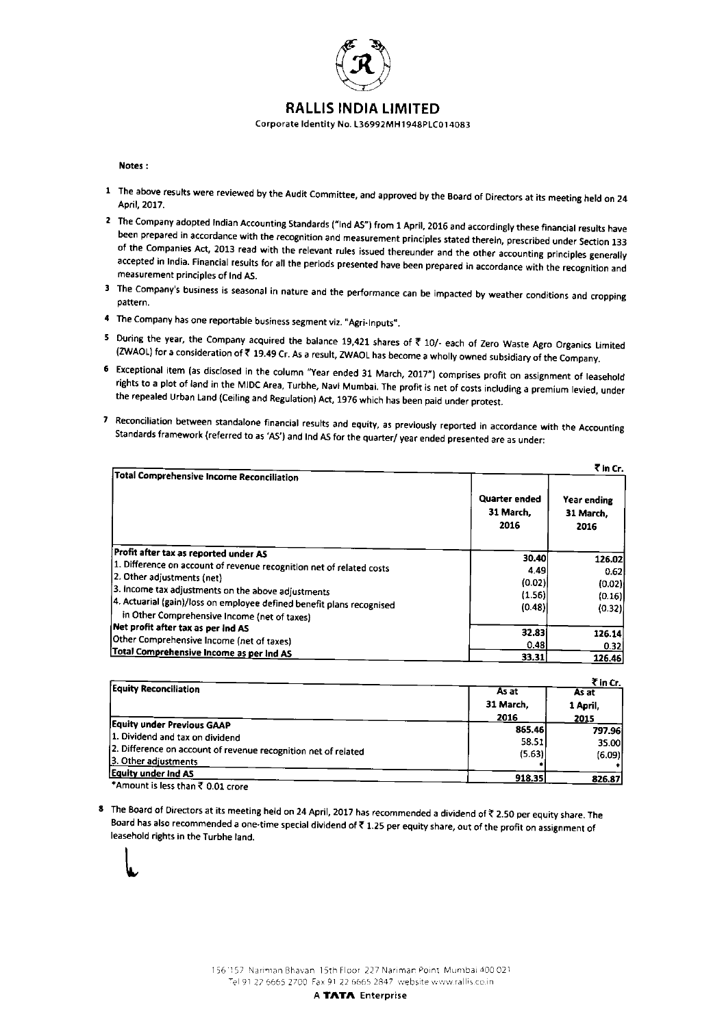

### RALLIS INDIA LIMITED

Corporate Identity No. L36992MH1948PLC014083

#### Notes :

- 1 The above results were reviewed by the Audit Committee, and approved by the Board of Directors at its meeting held on 24 April, 2017.
- 2 The Company adopted Indian Accounting Standards ("Ind AS") from 1 April, 2016 and accordingly these financial results have<br>been prepared in accordance with the recognition and measurement principles stated therein, presc accepted in India. Financial results for all the periods presented have been prepared in accordance with the recognition and measurement principles of Ind AS.
- 3 The Company's business is seasonal in nature and the performance can be impacted by weather conditions and cropping pattern.
- 4 The Company has one reportable business segment viz. "Agri-Inputs",
- 5 During the year, the Company acquired the balance 19,421 shares of ₹ 10/- each of Zero Waste Agro Organics Limited (ZWAOL) for a consideration of ₹ 19.49 Cr. As a result, ZWAOL has become a wholly owned subsidiary of t
- rights to a plot of land in the MIDC Area, Turbhe, Navi Mumbai. The profit is net of costs including a premium levied, under<br>the repealed Urban Land (Ceiling and Regulation) Act, 1976 which has been paid under protest.
- Reconciliation between standalone financial results and equity, as previously reponed in accordance with the Accounting Standards framework (referred to as 'AS') and Ind AS for the quarter/ year ended presented are as under

| Total Comprehensive Income Reconciliation                                                                              |                                    | ₹ in Cr.                         |
|------------------------------------------------------------------------------------------------------------------------|------------------------------------|----------------------------------|
|                                                                                                                        | Quarter ended<br>31 March.<br>2016 | Year ending<br>31 March.<br>2016 |
| Profit after tax as reported under AS                                                                                  | 30.40                              | 126.02                           |
| 1. Difference on account of revenue recognition net of related costs                                                   | 4.49                               | 0.62                             |
| 2. Other adjustments (net)                                                                                             | (0.02)                             | (0.02)                           |
| 3. Income tax adjustments on the above adjustments                                                                     | (1.56)                             | (0.16)                           |
| [4. Actuarial (gain)/loss on employee defined benefit plans recognised<br>in Other Comprehensive Income (net of taxes) | (0.48)                             | (0.32)                           |
| Net profit after tax as per ind AS                                                                                     | 32.83                              | 126.14                           |
| Other Comprehensive Income (net of taxes)                                                                              | 0.48                               | 0.321                            |
| Total Comprehensive Income as per Ind AS                                                                               | 33.31                              | 126.46                           |

|                                                                |           | ₹ in Cr. |
|----------------------------------------------------------------|-----------|----------|
| <b>Equity Reconciliation</b>                                   | As at     | As at    |
|                                                                | 31 March. | 1 April, |
|                                                                | 2016      | 2015     |
| <b>Equity under Previous GAAP</b>                              | 865.46    | 797.96   |
| 1. Dividend and tax on dividend                                | 58.51     | 35.00    |
| 2. Difference on account of revenue recognition net of related | (5.63)    | (6.09)   |
| 3. Other adjustments                                           |           |          |
| <b>Equity under ind AS</b>                                     | 918.35    | 826.87   |
| *Amount is less than ₹ 0.01 crore                              |           |          |

8 The Board of Directors at its meeting held on 24 April, 2017 has recommended a dividend of ₹ 2.50 per equity share. The Board has also recommended a one-time special dividend of  $\bar{\tau}$  1.25 per equity share, out of the profit on assignment of leasehold rights in the Turbhe land.



A TATA Enterprise